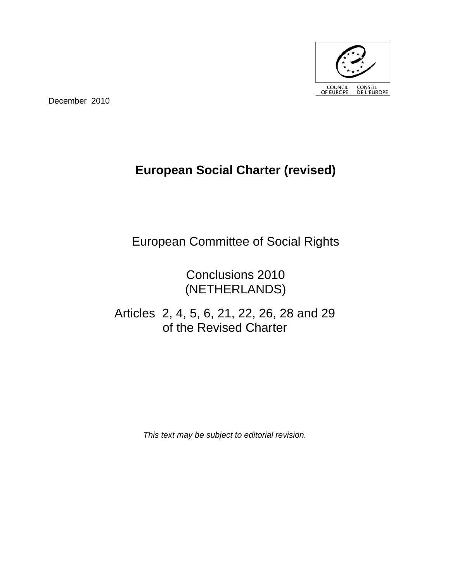

December 2010

# **European Social Charter (revised)**

European Committee of Social Rights

Conclusions 2010 (NETHERLANDS)

Articles 2, 4, 5, 6, 21, 22, 26, 28 and 29 of the Revised Charter

*This text may be subject to editorial revision.*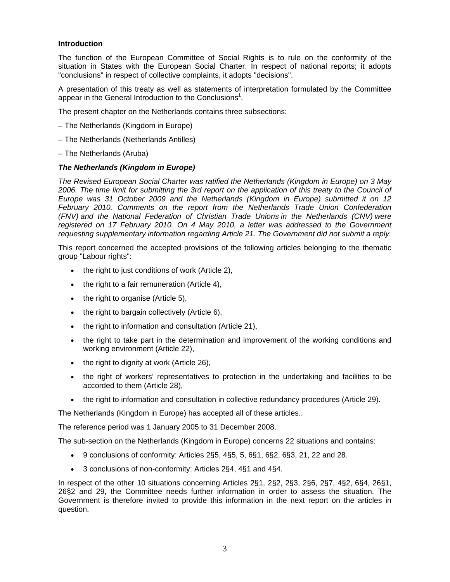#### **Introduction**

The function of the European Committee of Social Rights is to rule on the conformity of the situation in States with the European Social Charter. In respect of national reports; it adopts "conclusions" in respect of collective complaints, it adopts "decisions".

A presentation of this treaty as well as statements of interpretation formulated by the Committee appear in the General Introduction to the Conclusions<sup>1</sup>.

The present chapter on the Netherlands contains three subsections:

- The Netherlands (Kingdom in Europe)
- The Netherlands (Netherlands Antilles)

– The Netherlands (Aruba)

## *The Netherlands (Kingdom in Europe)*

*The Revised European Social Charter was ratified the Netherlands (Kingdom in Europe) on 3 May 2006. The time limit for submitting the 3rd report on the application of this treaty to the Council of Europe was 31 October 2009 and the Netherlands (Kingdom in Europe) submitted it on 12 February 2010. Comments on the report from the Netherlands Trade Union Confederation (FNV) and the National Federation of Christian Trade Unions in the Netherlands (CNV) were registered on 17 February 2010. On 4 May 2010, a letter was addressed to the Government requesting supplementary information regarding Article 21. The Government did not submit a reply.* 

This report concerned the accepted provisions of the following articles belonging to the thematic group "Labour rights":

- the right to just conditions of work (Article 2),
- $\bullet$  the right to a fair remuneration (Article 4),
- $\bullet$  the right to organise (Article 5),
- the right to bargain collectively (Article 6),
- the right to information and consultation (Article 21),
- the right to take part in the determination and improvement of the working conditions and working environment (Article 22),
- $\bullet$  the right to dignity at work (Article 26),
- the right of workers' representatives to protection in the undertaking and facilities to be accorded to them (Article 28),
- the right to information and consultation in collective redundancy procedures (Article 29).

The Netherlands (Kingdom in Europe) has accepted all of these articles..

The reference period was 1 January 2005 to 31 December 2008.

The sub-section on the Netherlands (Kingdom in Europe) concerns 22 situations and contains:

- $9$  conclusions of conformity: Articles 2§5, 4§5, 5, 6§1, 6§2, 6§3, 21, 22 and 28.
- 3 conclusions of non-conformity: Articles 2§4, 4§1 and 4§4.

In respect of the other 10 situations concerning Articles 2§1, 2§2, 2§3, 2§6, 2§7, 4§2, 6§4, 26§1, 26§2 and 29, the Committee needs further information in order to assess the situation. The Government is therefore invited to provide this information in the next report on the articles in question.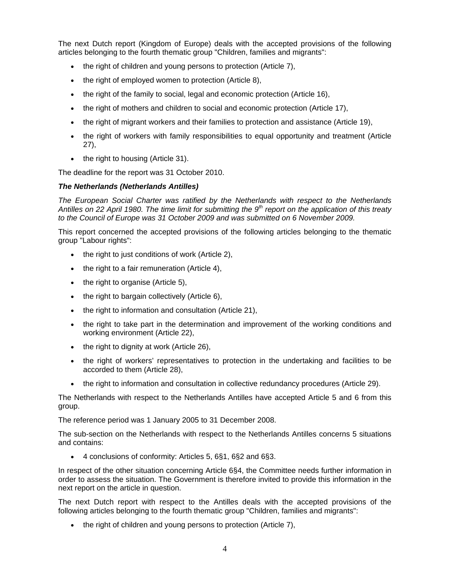The next Dutch report (Kingdom of Europe) deals with the accepted provisions of the following articles belonging to the fourth thematic group "Children, families and migrants":

- the right of children and young persons to protection (Article 7),
- the right of employed women to protection (Article 8),
- the right of the family to social, legal and economic protection (Article 16),
- the right of mothers and children to social and economic protection (Article 17),
- the right of migrant workers and their families to protection and assistance (Article 19),
- the right of workers with family responsibilities to equal opportunity and treatment (Article 27),
- $\bullet$  the right to housing (Article 31).

The deadline for the report was 31 October 2010.

# *The Netherlands (Netherlands Antilles)*

*The European Social Charter was ratified by the Netherlands with respect to the Netherlands*  Antilles on 22 April 1980. The time limit for submitting the 9<sup>th</sup> report on the application of this treaty to the Council of Europe was 31 October 2009 and was submitted on 6 November 2009.

This report concerned the accepted provisions of the following articles belonging to the thematic group "Labour rights":

- the right to just conditions of work (Article 2),
- the right to a fair remuneration (Article 4),
- the right to organise (Article 5),
- $\bullet$  the right to bargain collectively (Article 6),
- the right to information and consultation (Article 21),
- the right to take part in the determination and improvement of the working conditions and working environment (Article 22),
- the right to dignity at work (Article 26),
- the right of workers' representatives to protection in the undertaking and facilities to be accorded to them (Article 28),
- the right to information and consultation in collective redundancy procedures (Article 29).

The Netherlands with respect to the Netherlands Antilles have accepted Article 5 and 6 from this group.

The reference period was 1 January 2005 to 31 December 2008.

The sub-section on the Netherlands with respect to the Netherlands Antilles concerns 5 situations and contains:

4 conclusions of conformity: Articles 5, 6§1, 6§2 and 6§3.

In respect of the other situation concerning Article 6§4, the Committee needs further information in order to assess the situation. The Government is therefore invited to provide this information in the next report on the article in question.

The next Dutch report with respect to the Antilles deals with the accepted provisions of the following articles belonging to the fourth thematic group "Children, families and migrants":

the right of children and young persons to protection (Article 7),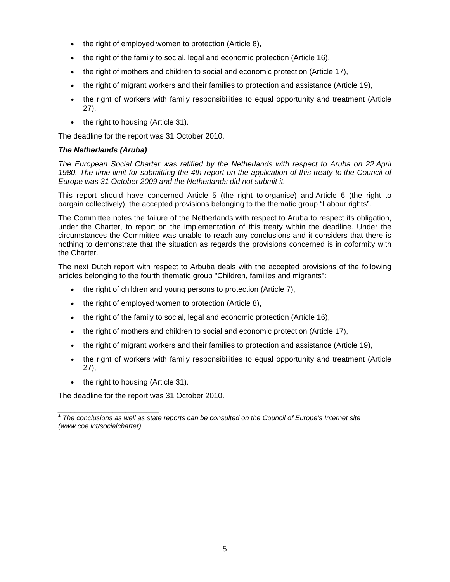- the right of employed women to protection (Article 8),
- the right of the family to social, legal and economic protection (Article 16),
- the right of mothers and children to social and economic protection (Article 17),
- the right of migrant workers and their families to protection and assistance (Article 19),
- the right of workers with family responsibilities to equal opportunity and treatment (Article 27),
- the right to housing (Article 31).

The deadline for the report was 31 October 2010.

# *The Netherlands (Aruba)*

*The European Social Charter was ratified by the Netherlands with respect to Aruba on 22 April*  1980. The time limit for submitting the 4th report on the application of this treaty to the Council of *Europe was 31 October 2009 and the Netherlands did not submit it.*

This report should have concerned Article 5 (the right to organise) and Article 6 (the right to bargain collectively), the accepted provisions belonging to the thematic group "Labour rights".

The Committee notes the failure of the Netherlands with respect to Aruba to respect its obligation, under the Charter, to report on the implementation of this treaty within the deadline. Under the circumstances the Committee was unable to reach any conclusions and it considers that there is nothing to demonstrate that the situation as regards the provisions concerned is in coformity with the Charter.

The next Dutch report with respect to Arbuba deals with the accepted provisions of the following articles belonging to the fourth thematic group "Children, families and migrants":

- the right of children and young persons to protection (Article 7),
- the right of employed women to protection (Article 8),
- the right of the family to social, legal and economic protection (Article 16),
- the right of mothers and children to social and economic protection (Article 17),
- the right of migrant workers and their families to protection and assistance (Article 19),
- the right of workers with family responsibilities to equal opportunity and treatment (Article 27),
- the right to housing (Article 31).

The deadline for the report was 31 October 2010.

*\_\_\_\_\_\_\_\_\_\_\_\_\_\_\_\_\_\_\_\_\_\_\_\_*  <sup>1</sup> The conclusions as well as state reports can be consulted on the Council of Europe's Internet site *(www.coe.int/socialcharter).*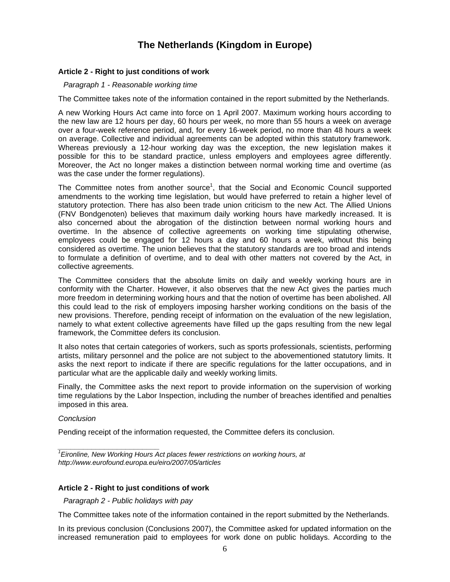# **The Netherlands (Kingdom in Europe)**

### **Article 2 - Right to just conditions of work**

*Paragraph 1 - Reasonable working time* 

The Committee takes note of the information contained in the report submitted by the Netherlands.

A new Working Hours Act came into force on 1 April 2007. Maximum working hours according to the new law are 12 hours per day, 60 hours per week, no more than 55 hours a week on average over a four-week reference period, and, for every 16-week period, no more than 48 hours a week on average. Collective and individual agreements can be adopted within this statutory framework. Whereas previously a 12-hour working day was the exception, the new legislation makes it possible for this to be standard practice, unless employers and employees agree differently. Moreover, the Act no longer makes a distinction between normal working time and overtime (as was the case under the former regulations).

The Committee notes from another source<sup>1</sup>, that the Social and Economic Council supported amendments to the working time legislation, but would have preferred to retain a higher level of statutory protection. There has also been trade union criticism to the new Act. The Allied Unions (FNV Bondgenoten) believes that maximum daily working hours have markedly increased. It is also concerned about the abrogation of the distinction between normal working hours and overtime. In the absence of collective agreements on working time stipulating otherwise, employees could be engaged for 12 hours a day and 60 hours a week, without this being considered as overtime. The union believes that the statutory standards are too broad and intends to formulate a definition of overtime, and to deal with other matters not covered by the Act, in collective agreements.

The Committee considers that the absolute limits on daily and weekly working hours are in conformity with the Charter. However, it also observes that the new Act gives the parties much more freedom in determining working hours and that the notion of overtime has been abolished. All this could lead to the risk of employers imposing harsher working conditions on the basis of the new provisions. Therefore, pending receipt of information on the evaluation of the new legislation, namely to what extent collective agreements have filled up the gaps resulting from the new legal framework, the Committee defers its conclusion.

It also notes that certain categories of workers, such as sports professionals, scientists, performing artists, military personnel and the police are not subject to the abovementioned statutory limits. It asks the next report to indicate if there are specific regulations for the latter occupations, and in particular what are the applicable daily and weekly working limits.

Finally, the Committee asks the next report to provide information on the supervision of working time regulations by the Labor Inspection, including the number of breaches identified and penalties imposed in this area.

*Conclusion* 

Pending receipt of the information requested, the Committee defers its conclusion.

*1 Eironline, New Working Hours Act places fewer restrictions on working hours, at http://www.eurofound.europa.eu/eiro/2007/05/articles* 

#### **Article 2 - Right to just conditions of work**

*Paragraph 2 - Public holidays with pay* 

*\_\_\_\_\_\_\_\_\_\_\_\_\_\_\_\_\_\_\_\_\_\_\_\_* 

The Committee takes note of the information contained in the report submitted by the Netherlands.

In its previous conclusion (Conclusions 2007), the Committee asked for updated information on the increased remuneration paid to employees for work done on public holidays. According to the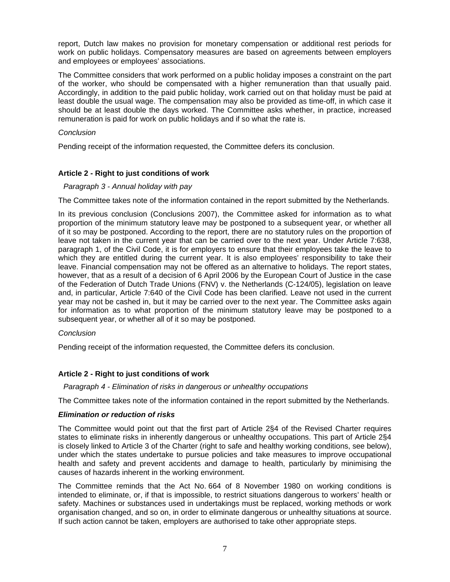report, Dutch law makes no provision for monetary compensation or additional rest periods for work on public holidays. Compensatory measures are based on agreements between employers and employees or employees' associations.

The Committee considers that work performed on a public holiday imposes a constraint on the part of the worker, who should be compensated with a higher remuneration than that usually paid. Accordingly, in addition to the paid public holiday, work carried out on that holiday must be paid at least double the usual wage. The compensation may also be provided as time-off, in which case it should be at least double the days worked. The Committee asks whether, in practice, increased remuneration is paid for work on public holidays and if so what the rate is.

# *Conclusion*

Pending receipt of the information requested, the Committee defers its conclusion.

# **Article 2 - Right to just conditions of work**

## *Paragraph 3 - Annual holiday with pay*

The Committee takes note of the information contained in the report submitted by the Netherlands.

In its previous conclusion (Conclusions 2007), the Committee asked for information as to what proportion of the minimum statutory leave may be postponed to a subsequent year, or whether all of it so may be postponed. According to the report, there are no statutory rules on the proportion of leave not taken in the current year that can be carried over to the next year. Under Article 7:638, paragraph 1, of the Civil Code, it is for employers to ensure that their employees take the leave to which they are entitled during the current year. It is also employees' responsibility to take their leave. Financial compensation may not be offered as an alternative to holidays. The report states, however, that as a result of a decision of 6 April 2006 by the European Court of Justice in the case of the Federation of Dutch Trade Unions (FNV) v. the Netherlands (C-124/05), legislation on leave and, in particular, Article 7:640 of the Civil Code has been clarified. Leave not used in the current year may not be cashed in, but it may be carried over to the next year. The Committee asks again for information as to what proportion of the minimum statutory leave may be postponed to a subsequent year, or whether all of it so may be postponed.

#### *Conclusion*

Pending receipt of the information requested, the Committee defers its conclusion.

# **Article 2 - Right to just conditions of work**

*Paragraph 4 - Elimination of risks in dangerous or unhealthy occupations* 

The Committee takes note of the information contained in the report submitted by the Netherlands.

#### *Elimination or reduction of risks*

The Committee would point out that the first part of Article 2§4 of the Revised Charter requires states to eliminate risks in inherently dangerous or unhealthy occupations. This part of Article 2§4 is closely linked to Article 3 of the Charter (right to safe and healthy working conditions, see below), under which the states undertake to pursue policies and take measures to improve occupational health and safety and prevent accidents and damage to health, particularly by minimising the causes of hazards inherent in the working environment.

The Committee reminds that the Act No. 664 of 8 November 1980 on working conditions is intended to eliminate, or, if that is impossible, to restrict situations dangerous to workers' health or safety. Machines or substances used in undertakings must be replaced, working methods or work organisation changed, and so on, in order to eliminate dangerous or unhealthy situations at source. If such action cannot be taken, employers are authorised to take other appropriate steps.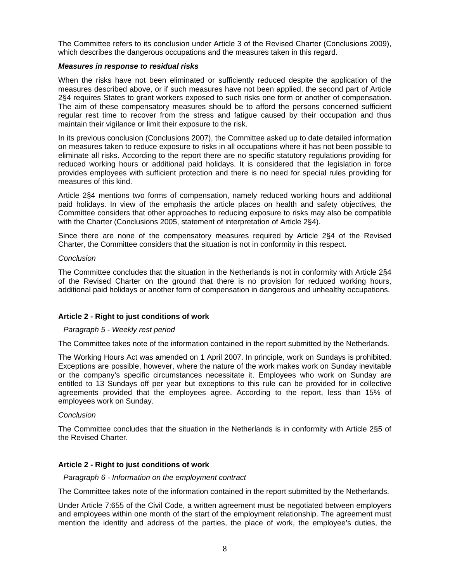The Committee refers to its conclusion under Article 3 of the Revised Charter (Conclusions 2009), which describes the dangerous occupations and the measures taken in this regard.

#### *Measures in response to residual risks*

When the risks have not been eliminated or sufficiently reduced despite the application of the measures described above, or if such measures have not been applied, the second part of Article 2§4 requires States to grant workers exposed to such risks one form or another of compensation. The aim of these compensatory measures should be to afford the persons concerned sufficient regular rest time to recover from the stress and fatigue caused by their occupation and thus maintain their vigilance or limit their exposure to the risk.

In its previous conclusion (Conclusions 2007), the Committee asked up to date detailed information on measures taken to reduce exposure to risks in all occupations where it has not been possible to eliminate all risks. According to the report there are no specific statutory regulations providing for reduced working hours or additional paid holidays. It is considered that the legislation in force provides employees with sufficient protection and there is no need for special rules providing for measures of this kind.

Article 2§4 mentions two forms of compensation, namely reduced working hours and additional paid holidays. In view of the emphasis the article places on health and safety objectives, the Committee considers that other approaches to reducing exposure to risks may also be compatible with the Charter (Conclusions 2005, statement of interpretation of Article 2§4).

Since there are none of the compensatory measures required by Article 2§4 of the Revised Charter, the Committee considers that the situation is not in conformity in this respect.

## *Conclusion*

The Committee concludes that the situation in the Netherlands is not in conformity with Article 2§4 of the Revised Charter on the ground that there is no provision for reduced working hours, additional paid holidays or another form of compensation in dangerous and unhealthy occupations.

# **Article 2 - Right to just conditions of work**

#### *Paragraph 5 - Weekly rest period*

The Committee takes note of the information contained in the report submitted by the Netherlands.

The Working Hours Act was amended on 1 April 2007. In principle, work on Sundays is prohibited. Exceptions are possible, however, where the nature of the work makes work on Sunday inevitable or the company's specific circumstances necessitate it. Employees who work on Sunday are entitled to 13 Sundays off per year but exceptions to this rule can be provided for in collective agreements provided that the employees agree. According to the report, less than 15% of employees work on Sunday.

#### *Conclusion*

The Committee concludes that the situation in the Netherlands is in conformity with Article 2§5 of the Revised Charter.

# **Article 2 - Right to just conditions of work**

*Paragraph 6 - Information on the employment contract* 

The Committee takes note of the information contained in the report submitted by the Netherlands.

Under Article 7:655 of the Civil Code, a written agreement must be negotiated between employers and employees within one month of the start of the employment relationship. The agreement must mention the identity and address of the parties, the place of work, the employee's duties, the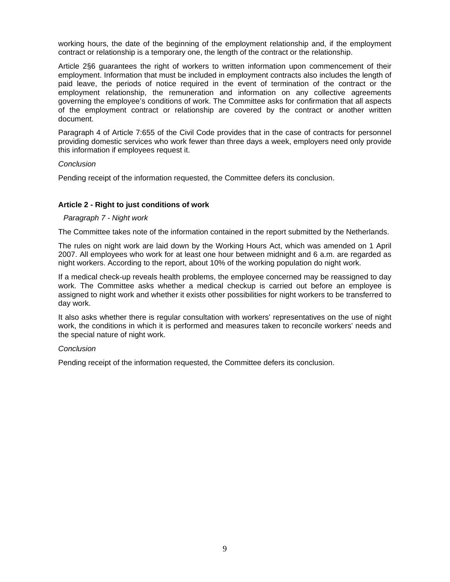working hours, the date of the beginning of the employment relationship and, if the employment contract or relationship is a temporary one, the length of the contract or the relationship.

Article 2§6 guarantees the right of workers to written information upon commencement of their employment. Information that must be included in employment contracts also includes the length of paid leave, the periods of notice required in the event of termination of the contract or the employment relationship, the remuneration and information on any collective agreements governing the employee's conditions of work. The Committee asks for confirmation that all aspects of the employment contract or relationship are covered by the contract or another written document.

Paragraph 4 of Article 7:655 of the Civil Code provides that in the case of contracts for personnel providing domestic services who work fewer than three days a week, employers need only provide this information if employees request it.

#### *Conclusion*

Pending receipt of the information requested, the Committee defers its conclusion.

#### **Article 2 - Right to just conditions of work**

#### *Paragraph 7 - Night work*

The Committee takes note of the information contained in the report submitted by the Netherlands.

The rules on night work are laid down by the Working Hours Act, which was amended on 1 April 2007. All employees who work for at least one hour between midnight and 6 a.m. are regarded as night workers. According to the report, about 10% of the working population do night work.

If a medical check-up reveals health problems, the employee concerned may be reassigned to day work. The Committee asks whether a medical checkup is carried out before an employee is assigned to night work and whether it exists other possibilities for night workers to be transferred to day work.

It also asks whether there is regular consultation with workers' representatives on the use of night work, the conditions in which it is performed and measures taken to reconcile workers' needs and the special nature of night work.

#### *Conclusion*

Pending receipt of the information requested, the Committee defers its conclusion.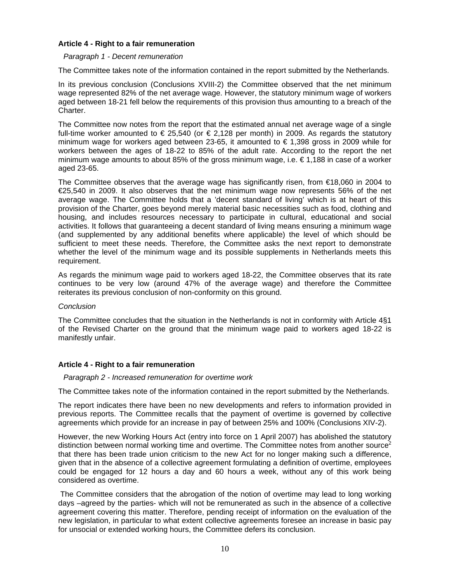#### **Article 4 - Right to a fair remuneration**

#### *Paragraph 1 - Decent remuneration*

The Committee takes note of the information contained in the report submitted by the Netherlands.

In its previous conclusion (Conclusions XVIII-2) the Committee observed that the net minimum wage represented 82% of the net average wage. However, the statutory minimum wage of workers aged between 18-21 fell below the requirements of this provision thus amounting to a breach of the Charter.

The Committee now notes from the report that the estimated annual net average wage of a single full-time worker amounted to  $\epsilon$  25,540 (or  $\epsilon$  2,128 per month) in 2009. As regards the statutory minimum wage for workers aged between 23-65, it amounted to  $\epsilon$  1,398 gross in 2009 while for workers between the ages of 18-22 to 85% of the adult rate. According to the report the net minimum wage amounts to about 85% of the gross minimum wage, i.e.  $\epsilon$  1,188 in case of a worker aged 23-65.

The Committee observes that the average wage has significantly risen, from €18,060 in 2004 to €25,540 in 2009. It also observes that the net minimum wage now represents 56% of the net average wage. The Committee holds that a 'decent standard of living' which is at heart of this provision of the Charter, goes beyond merely material basic necessities such as food, clothing and housing, and includes resources necessary to participate in cultural, educational and social activities. It follows that guaranteeing a decent standard of living means ensuring a minimum wage (and supplemented by any additional benefits where applicable) the level of which should be sufficient to meet these needs. Therefore, the Committee asks the next report to demonstrate whether the level of the minimum wage and its possible supplements in Netherlands meets this requirement.

As regards the minimum wage paid to workers aged 18-22, the Committee observes that its rate continues to be very low (around 47% of the average wage) and therefore the Committee reiterates its previous conclusion of non-conformity on this ground.

#### *Conclusion*

The Committee concludes that the situation in the Netherlands is not in conformity with Article 4§1 of the Revised Charter on the ground that the minimum wage paid to workers aged 18-22 is manifestly unfair.

# **Article 4 - Right to a fair remuneration**

#### *Paragraph 2 - Increased remuneration for overtime work*

The Committee takes note of the information contained in the report submitted by the Netherlands.

The report indicates there have been no new developments and refers to information provided in previous reports. The Committee recalls that the payment of overtime is governed by collective agreements which provide for an increase in pay of between 25% and 100% (Conclusions XIV-2).

However, the new Working Hours Act (entry into force on 1 April 2007) has abolished the statutory distinction between normal working time and overtime. The Committee notes from another source<sup>2</sup> that there has been trade union criticism to the new Act for no longer making such a difference, given that in the absence of a collective agreement formulating a definition of overtime, employees could be engaged for 12 hours a day and 60 hours a week, without any of this work being considered as overtime.

 The Committee considers that the abrogation of the notion of overtime may lead to long working days –agreed by the parties- which will not be remunerated as such in the absence of a collective agreement covering this matter. Therefore, pending receipt of information on the evaluation of the new legislation, in particular to what extent collective agreements foresee an increase in basic pay for unsocial or extended working hours, the Committee defers its conclusion.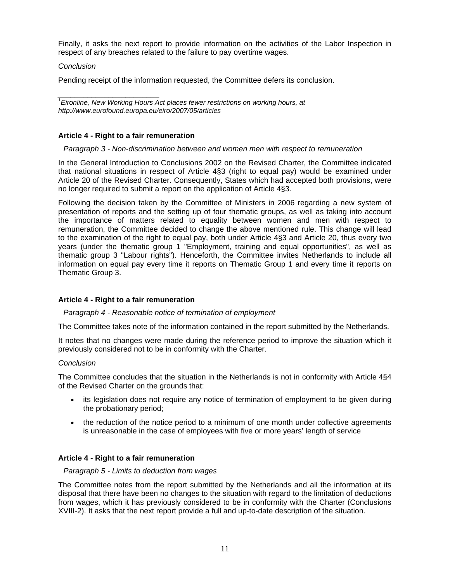Finally, it asks the next report to provide information on the activities of the Labor Inspection in respect of any breaches related to the failure to pay overtime wages.

## *Conclusion*

Pending receipt of the information requested, the Committee defers its conclusion.

*\_\_\_\_\_\_\_\_\_\_\_\_\_\_\_\_\_\_\_\_\_\_\_\_ 1 Eironline, New Working Hours Act places fewer restrictions on working hours, at http://www.eurofound.europa.eu/eiro/2007/05/articles* 

# **Article 4 - Right to a fair remuneration**

## *Paragraph 3 - Non-discrimination between and women men with respect to remuneration*

In the General Introduction to Conclusions 2002 on the Revised Charter, the Committee indicated that national situations in respect of Article 4§3 (right to equal pay) would be examined under Article 20 of the Revised Charter. Consequently, States which had accepted both provisions, were no longer required to submit a report on the application of Article 4§3.

Following the decision taken by the Committee of Ministers in 2006 regarding a new system of presentation of reports and the setting up of four thematic groups, as well as taking into account the importance of matters related to equality between women and men with respect to remuneration, the Committee decided to change the above mentioned rule. This change will lead to the examination of the right to equal pay, both under Article 4§3 and Article 20, thus every two years (under the thematic group 1 "Employment, training and equal opportunities", as well as thematic group 3 "Labour rights"). Henceforth, the Committee invites Netherlands to include all information on equal pay every time it reports on Thematic Group 1 and every time it reports on Thematic Group 3.

# **Article 4 - Right to a fair remuneration**

#### *Paragraph 4 - Reasonable notice of termination of employment*

The Committee takes note of the information contained in the report submitted by the Netherlands.

It notes that no changes were made during the reference period to improve the situation which it previously considered not to be in conformity with the Charter.

#### *Conclusion*

The Committee concludes that the situation in the Netherlands is not in conformity with Article 4§4 of the Revised Charter on the grounds that:

- its legislation does not require any notice of termination of employment to be given during the probationary period;
- the reduction of the notice period to a minimum of one month under collective agreements is unreasonable in the case of employees with five or more years' length of service

# **Article 4 - Right to a fair remuneration**

#### *Paragraph 5 - Limits to deduction from wages*

The Committee notes from the report submitted by the Netherlands and all the information at its disposal that there have been no changes to the situation with regard to the limitation of deductions from wages, which it has previously considered to be in conformity with the Charter (Conclusions XVIII-2). It asks that the next report provide a full and up-to-date description of the situation.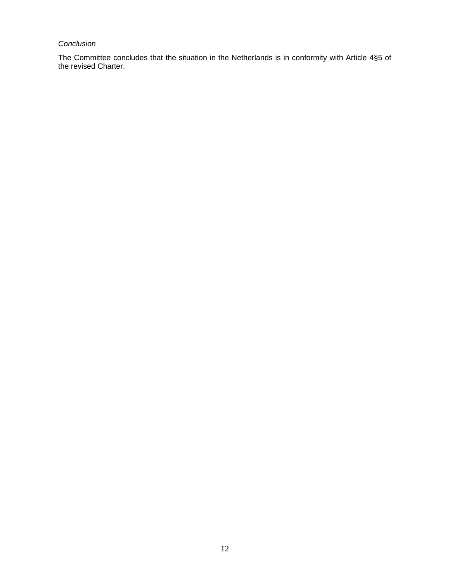# *Conclusion*

The Committee concludes that the situation in the Netherlands is in conformity with Article 4§5 of the revised Charter.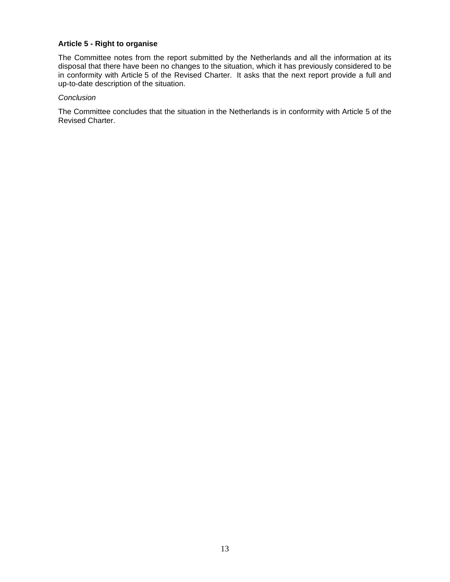## **Article 5 - Right to organise**

The Committee notes from the report submitted by the Netherlands and all the information at its disposal that there have been no changes to the situation, which it has previously considered to be in conformity with Article 5 of the Revised Charter. It asks that the next report provide a full and up-to-date description of the situation.

#### *Conclusion*

The Committee concludes that the situation in the Netherlands is in conformity with Article 5 of the Revised Charter.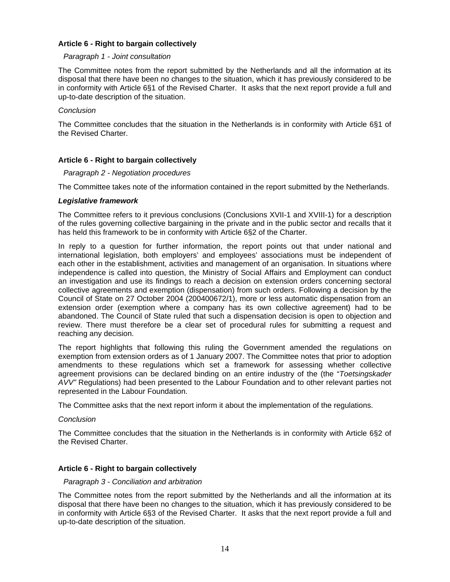#### **Article 6 - Right to bargain collectively**

#### *Paragraph 1 - Joint consultation*

The Committee notes from the report submitted by the Netherlands and all the information at its disposal that there have been no changes to the situation, which it has previously considered to be in conformity with Article 6§1 of the Revised Charter. It asks that the next report provide a full and up-to-date description of the situation.

## *Conclusion*

The Committee concludes that the situation in the Netherlands is in conformity with Article 6§1 of the Revised Charter.

# **Article 6 - Right to bargain collectively**

## *Paragraph 2 - Negotiation procedures*

The Committee takes note of the information contained in the report submitted by the Netherlands.

#### *Legislative framework*

The Committee refers to it previous conclusions (Conclusions XVII-1 and XVIII-1) for a description of the rules governing collective bargaining in the private and in the public sector and recalls that it has held this framework to be in conformity with Article 6§2 of the Charter.

In reply to a question for further information, the report points out that under national and international legislation, both employers' and employees' associations must be independent of each other in the establishment, activities and management of an organisation. In situations where independence is called into question, the Ministry of Social Affairs and Employment can conduct an investigation and use its findings to reach a decision on extension orders concerning sectoral collective agreements and exemption (dispensation) from such orders. Following a decision by the Council of State on 27 October 2004 (200400672/1), more or less automatic dispensation from an extension order (exemption where a company has its own collective agreement) had to be abandoned. The Council of State ruled that such a dispensation decision is open to objection and review. There must therefore be a clear set of procedural rules for submitting a request and reaching any decision.

The report highlights that following this ruling the Government amended the regulations on exemption from extension orders as of 1 January 2007. The Committee notes that prior to adoption amendments to these regulations which set a framework for assessing whether collective agreement provisions can be declared binding on an entire industry of the (the "*Toetsingskader AVV"* Regulations) had been presented to the Labour Foundation and to other relevant parties not represented in the Labour Foundation.

The Committee asks that the next report inform it about the implementation of the regulations.

#### *Conclusion*

The Committee concludes that the situation in the Netherlands is in conformity with Article 6§2 of the Revised Charter.

# **Article 6 - Right to bargain collectively**

#### *Paragraph 3 - Conciliation and arbitration*

The Committee notes from the report submitted by the Netherlands and all the information at its disposal that there have been no changes to the situation, which it has previously considered to be in conformity with Article 6§3 of the Revised Charter. It asks that the next report provide a full and up-to-date description of the situation.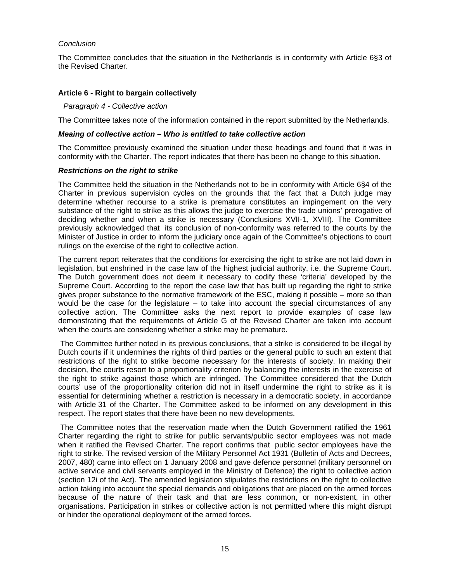## *Conclusion*

The Committee concludes that the situation in the Netherlands is in conformity with Article 6§3 of the Revised Charter.

# **Article 6 - Right to bargain collectively**

#### *Paragraph 4 - Collective action*

The Committee takes note of the information contained in the report submitted by the Netherlands.

#### *Meaing of collective action – Who is entitled to take collective action*

The Committee previously examined the situation under these headings and found that it was in conformity with the Charter. The report indicates that there has been no change to this situation.

#### *Restrictions on the right to strike*

The Committee held the situation in the Netherlands not to be in conformity with Article 6§4 of the Charter in previous supervision cycles on the grounds that the fact that a Dutch judge may determine whether recourse to a strike is premature constitutes an impingement on the very substance of the right to strike as this allows the judge to exercise the trade unions' prerogative of deciding whether and when a strike is necessary (Conclusions XVII-1, XVIII). The Committee previously acknowledged that its conclusion of non-conformity was referred to the courts by the Minister of Justice in order to inform the judiciary once again of the Committee's objections to court rulings on the exercise of the right to collective action.

The current report reiterates that the conditions for exercising the right to strike are not laid down in legislation, but enshrined in the case law of the highest judicial authority, i.e. the Supreme Court. The Dutch government does not deem it necessary to codify these 'criteria' developed by the Supreme Court. According to the report the case law that has built up regarding the right to strike gives proper substance to the normative framework of the ESC, making it possible – more so than would be the case for the legislature  $-$  to take into account the special circumstances of any collective action. The Committee asks the next report to provide examples of case law demonstrating that the requirements of Article G of the Revised Charter are taken into account when the courts are considering whether a strike may be premature.

 The Committee further noted in its previous conclusions, that a strike is considered to be illegal by Dutch courts if it undermines the rights of third parties or the general public to such an extent that restrictions of the right to strike become necessary for the interests of society. In making their decision, the courts resort to a proportionality criterion by balancing the interests in the exercise of the right to strike against those which are infringed. The Committee considered that the Dutch courts' use of the proportionality criterion did not in itself undermine the right to strike as it is essential for determining whether a restriction is necessary in a democratic society, in accordance with Article 31 of the Charter. The Committee asked to be informed on any development in this respect. The report states that there have been no new developments.

 The Committee notes that the reservation made when the Dutch Government ratified the 1961 Charter regarding the right to strike for public servants/public sector employees was not made when it ratified the Revised Charter. The report confirms that public sector employees have the right to strike. The revised version of the Military Personnel Act 1931 (Bulletin of Acts and Decrees, 2007, 480) came into effect on 1 January 2008 and gave defence personnel (military personnel on active service and civil servants employed in the Ministry of Defence) the right to collective action (section 12i of the Act). The amended legislation stipulates the restrictions on the right to collective action taking into account the special demands and obligations that are placed on the armed forces because of the nature of their task and that are less common, or non-existent, in other organisations. Participation in strikes or collective action is not permitted where this might disrupt or hinder the operational deployment of the armed forces.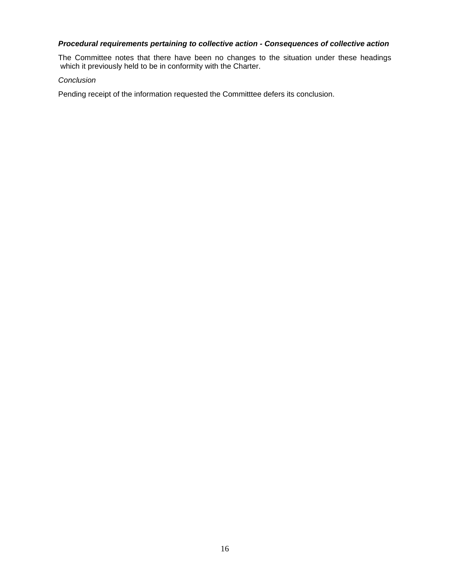# *Procedural requirements pertaining to collective action - Consequences of collective action*

The Committee notes that there have been no changes to the situation under these headings which it previously held to be in conformity with the Charter.

#### *Conclusion*

Pending receipt of the information requested the Committtee defers its conclusion.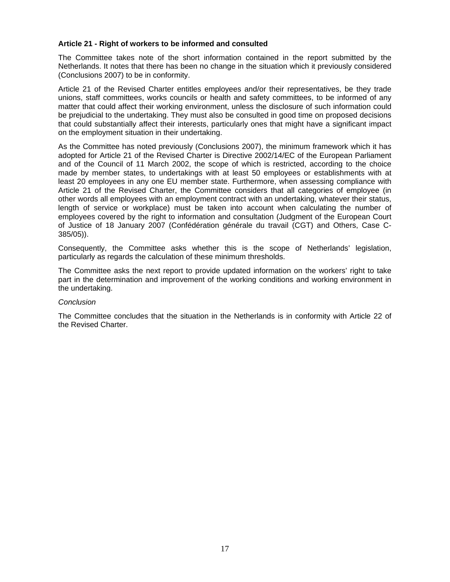# **Article 21 - Right of workers to be informed and consulted**

The Committee takes note of the short information contained in the report submitted by the Netherlands. It notes that there has been no change in the situation which it previously considered (Conclusions 2007) to be in conformity.

Article 21 of the Revised Charter entitles employees and/or their representatives, be they trade unions, staff committees, works councils or health and safety committees, to be informed of any matter that could affect their working environment, unless the disclosure of such information could be prejudicial to the undertaking. They must also be consulted in good time on proposed decisions that could substantially affect their interests, particularly ones that might have a significant impact on the employment situation in their undertaking.

As the Committee has noted previously (Conclusions 2007), the minimum framework which it has adopted for Article 21 of the Revised Charter is Directive 2002/14/EC of the European Parliament and of the Council of 11 March 2002, the scope of which is restricted, according to the choice made by member states, to undertakings with at least 50 employees or establishments with at least 20 employees in any one EU member state. Furthermore, when assessing compliance with Article 21 of the Revised Charter, the Committee considers that all categories of employee (in other words all employees with an employment contract with an undertaking, whatever their status, length of service or workplace) must be taken into account when calculating the number of employees covered by the right to information and consultation (Judgment of the European Court of Justice of 18 January 2007 (Confédération générale du travail (CGT) and Others, Case C-385/05)).

Consequently, the Committee asks whether this is the scope of Netherlands' legislation, particularly as regards the calculation of these minimum thresholds.

The Committee asks the next report to provide updated information on the workers' right to take part in the determination and improvement of the working conditions and working environment in the undertaking.

#### *Conclusion*

The Committee concludes that the situation in the Netherlands is in conformity with Article 22 of the Revised Charter.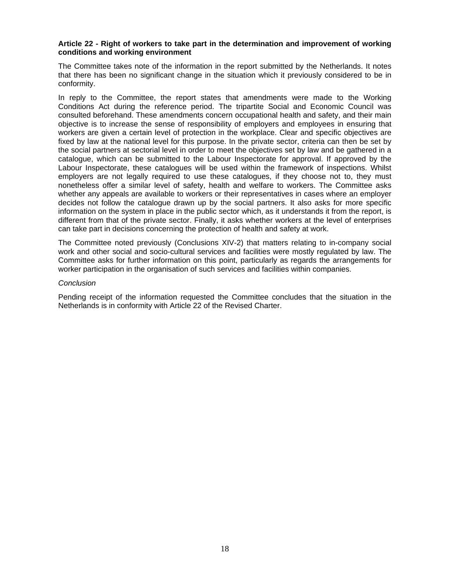#### **Article 22 - Right of workers to take part in the determination and improvement of working conditions and working environment**

The Committee takes note of the information in the report submitted by the Netherlands. It notes that there has been no significant change in the situation which it previously considered to be in conformity.

In reply to the Committee, the report states that amendments were made to the Working Conditions Act during the reference period. The tripartite Social and Economic Council was consulted beforehand. These amendments concern occupational health and safety, and their main objective is to increase the sense of responsibility of employers and employees in ensuring that workers are given a certain level of protection in the workplace. Clear and specific objectives are fixed by law at the national level for this purpose. In the private sector, criteria can then be set by the social partners at sectorial level in order to meet the objectives set by law and be gathered in a catalogue, which can be submitted to the Labour Inspectorate for approval. If approved by the Labour Inspectorate, these catalogues will be used within the framework of inspections. Whilst employers are not legally required to use these catalogues, if they choose not to, they must nonetheless offer a similar level of safety, health and welfare to workers. The Committee asks whether any appeals are available to workers or their representatives in cases where an employer decides not follow the catalogue drawn up by the social partners. It also asks for more specific information on the system in place in the public sector which, as it understands it from the report, is different from that of the private sector. Finally, it asks whether workers at the level of enterprises can take part in decisions concerning the protection of health and safety at work.

The Committee noted previously (Conclusions XIV-2) that matters relating to in-company social work and other social and socio-cultural services and facilities were mostly regulated by law. The Committee asks for further information on this point, particularly as regards the arrangements for worker participation in the organisation of such services and facilities within companies.

#### *Conclusion*

Pending receipt of the information requested the Committee concludes that the situation in the Netherlands is in conformity with Article 22 of the Revised Charter.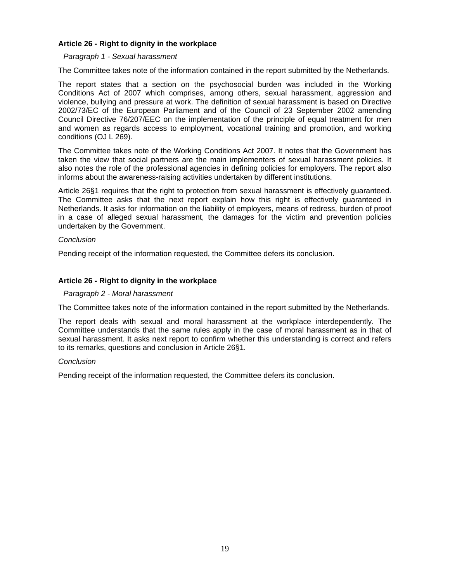#### **Article 26 - Right to dignity in the workplace**

#### *Paragraph 1 - Sexual harassment*

The Committee takes note of the information contained in the report submitted by the Netherlands.

The report states that a section on the psychosocial burden was included in the Working Conditions Act of 2007 which comprises, among others, sexual harassment, aggression and violence, bullying and pressure at work. The definition of sexual harassment is based on Directive 2002/73/EC of the European Parliament and of the Council of 23 September 2002 amending Council Directive 76/207/EEC on the implementation of the principle of equal treatment for men and women as regards access to employment, vocational training and promotion, and working conditions (OJ L 269).

The Committee takes note of the Working Conditions Act 2007. It notes that the Government has taken the view that social partners are the main implementers of sexual harassment policies. It also notes the role of the professional agencies in defining policies for employers. The report also informs about the awareness-raising activities undertaken by different institutions.

Article 26§1 requires that the right to protection from sexual harassment is effectively guaranteed. The Committee asks that the next report explain how this right is effectively guaranteed in Netherlands. It asks for information on the liability of employers, means of redress, burden of proof in a case of alleged sexual harassment, the damages for the victim and prevention policies undertaken by the Government.

# *Conclusion*

Pending receipt of the information requested, the Committee defers its conclusion.

# **Article 26 - Right to dignity in the workplace**

#### *Paragraph 2 - Moral harassment*

The Committee takes note of the information contained in the report submitted by the Netherlands.

The report deals with sexual and moral harassment at the workplace interdependently. The Committee understands that the same rules apply in the case of moral harassment as in that of sexual harassment. It asks next report to confirm whether this understanding is correct and refers to its remarks, questions and conclusion in Article 26§1.

#### *Conclusion*

Pending receipt of the information requested, the Committee defers its conclusion.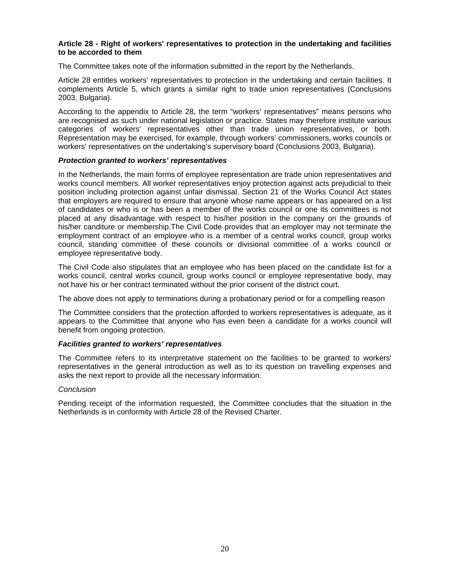#### **Article 28 - Right of workers' representatives to protection in the undertaking and facilities to be accorded to them**

The Committee takes note of the information submitted in the report by the Netherlands.

Article 28 entitles workers' representatives to protection in the undertaking and certain facilities. It complements Article 5, which grants a similar right to trade union representatives (Conclusions 2003, Bulgaria).

According to the appendix to Article 28, the term "workers' representatives" means persons who are recognised as such under national legislation or practice. States may therefore institute various categories of workers' representatives other than trade union representatives, or both. Representation may be exercised, for example, through workers' commissioners, works councils or workers' representatives on the undertaking's supervisory board (Conclusions 2003, Bulgaria).

#### *Protection granted to workers' representatives*

In the Netherlands, the main forms of employee representation are trade union representatives and works council members. All worker representatives enjoy protection against acts prejudicial to their position including protection against unfair dismissal. Section 21 of the Works Council Act states that employers are required to ensure that anyone whose name appears or has appeared on a list of candidates or who is or has been a member of the works council or one its committees is not placed at any disadvantage with respect to his/her position in the company on the grounds of his/her canditure or membership.The Civil Code provides that an employer may not terminate the employment contract of an employee who is a member of a central works council, group works council, standing committee of these councils or divisional committee of a works council or employee representative body.

The Civil Code also stipulates that an employee who has been placed on the candidate list for a works council, central works council, group works council or employee representative body, may not have his or her contract terminated without the prior consent of the district court.

The above does not apply to terminations during a probationary period or for a compelling reason

The Committee considers that the protection afforded to workers representatives is adequate, as it appears to the Committee that anyone who has even been a candidate for a works council will benefit from ongoing protection.

# *Facilities granted to workers' representatives*

The Committee refers to its interpretative statement on the facilities to be granted to workers' representatives in the general introduction as well as to its question on travelling expenses and asks the next report to provide all the necessary information.

#### *Conclusion*

Pending receipt of the information requested, the Committee concludes that the situation in the Netherlands is in conformity with Article 28 of the Revised Charter.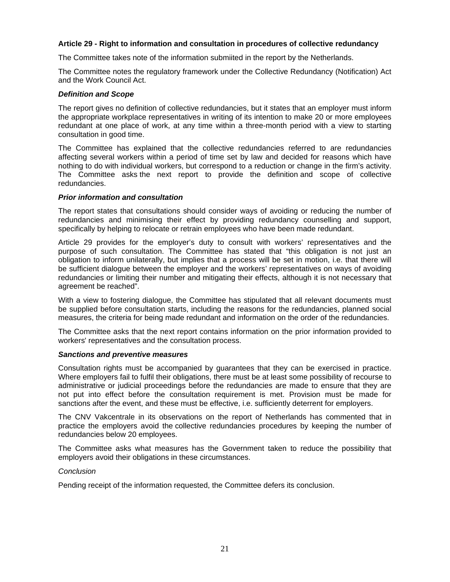#### **Article 29 - Right to information and consultation in procedures of collective redundancy**

The Committee takes note of the information submiited in the report by the Netherlands.

The Committee notes the regulatory framework under the Collective Redundancy (Notification) Act and the Work Council Act.

#### *Definition and Scope*

The report gives no definition of collective redundancies, but it states that an employer must inform the appropriate workplace representatives in writing of its intention to make 20 or more employees redundant at one place of work, at any time within a three-month period with a view to starting consultation in good time.

The Committee has explained that the collective redundancies referred to are redundancies affecting several workers within a period of time set by law and decided for reasons which have nothing to do with individual workers, but correspond to a reduction or change in the firm's activity. The Committee asks the next report to provide the definition and scope of collective redundancies.

## *Prior information and consultation*

The report states that consultations should consider ways of avoiding or reducing the number of redundancies and minimising their effect by providing redundancy counselling and support, specifically by helping to relocate or retrain employees who have been made redundant.

Article 29 provides for the employer's duty to consult with workers' representatives and the purpose of such consultation. The Committee has stated that "this obligation is not just an obligation to inform unilaterally, but implies that a process will be set in motion, i.e. that there will be sufficient dialogue between the employer and the workers' representatives on ways of avoiding redundancies or limiting their number and mitigating their effects, although it is not necessary that agreement be reached".

With a view to fostering dialogue, the Committee has stipulated that all relevant documents must be supplied before consultation starts, including the reasons for the redundancies, planned social measures, the criteria for being made redundant and information on the order of the redundancies.

The Committee asks that the next report contains information on the prior information provided to workers' representatives and the consultation process.

#### *Sanctions and preventive measures*

Consultation rights must be accompanied by guarantees that they can be exercised in practice. Where employers fail to fulfil their obligations, there must be at least some possibility of recourse to administrative or judicial proceedings before the redundancies are made to ensure that they are not put into effect before the consultation requirement is met. Provision must be made for sanctions after the event, and these must be effective, i.e. sufficiently deterrent for employers.

The CNV Vakcentrale in its observations on the report of Netherlands has commented that in practice the employers avoid the collective redundancies procedures by keeping the number of redundancies below 20 employees.

The Committee asks what measures has the Government taken to reduce the possibility that employers avoid their obligations in these circumstances.

# *Conclusion*

Pending receipt of the information requested, the Committee defers its conclusion.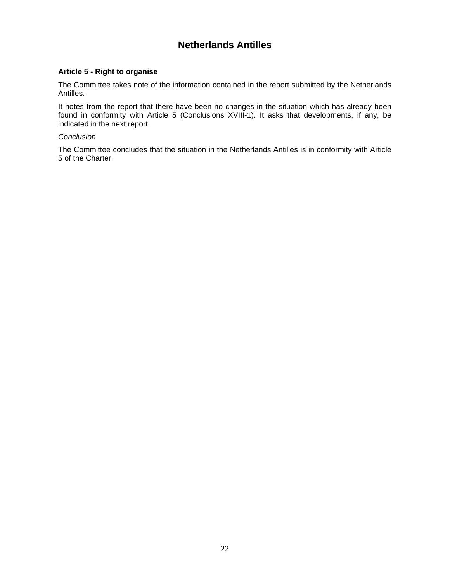# **Netherlands Antilles**

# **Article 5 - Right to organise**

The Committee takes note of the information contained in the report submitted by the Netherlands Antilles.

It notes from the report that there have been no changes in the situation which has already been found in conformity with Article 5 (Conclusions XVIII-1). It asks that developments, if any, be indicated in the next report.

#### *Conclusion*

The Committee concludes that the situation in the Netherlands Antilles is in conformity with Article 5 of the Charter.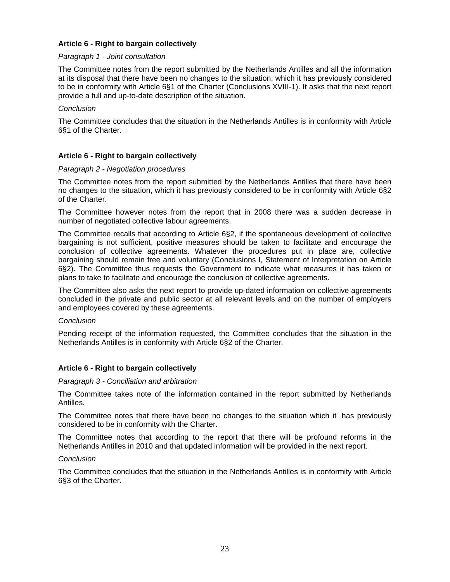# **Article 6 - Right to bargain collectively**

#### *Paragraph 1 - Joint consultation*

The Committee notes from the report submitted by the Netherlands Antilles and all the information at its disposal that there have been no changes to the situation, which it has previously considered to be in conformity with Article 6§1 of the Charter (Conclusions XVIII-1). It asks that the next report provide a full and up-to-date description of the situation.

#### *Conclusion*

The Committee concludes that the situation in the Netherlands Antilles is in conformity with Article 6§1 of the Charter.

# **Article 6 - Right to bargain collectively**

#### *Paragraph 2 - Negotiation procedures*

The Committee notes from the report submitted by the Netherlands Antilles that there have been no changes to the situation, which it has previously considered to be in conformity with Article 6§2 of the Charter.

The Committee however notes from the report that in 2008 there was a sudden decrease in number of negotiated collective labour agreements.

The Committee recalls that according to Article 6§2, if the spontaneous development of collective bargaining is not sufficient, positive measures should be taken to facilitate and encourage the conclusion of collective agreements. Whatever the procedures put in place are, collective bargaining should remain free and voluntary (Conclusions I, Statement of Interpretation on Article 6§2). The Committee thus requests the Government to indicate what measures it has taken or plans to take to facilitate and encourage the conclusion of collective agreements.

The Committee also asks the next report to provide up-dated information on collective agreements concluded in the private and public sector at all relevant levels and on the number of employers and employees covered by these agreements.

#### *Conclusion*

Pending receipt of the information requested, the Committee concludes that the situation in the Netherlands Antilles is in conformity with Article 6§2 of the Charter.

# **Article 6 - Right to bargain collectively**

#### *Paragraph 3 - Conciliation and arbitration*

The Committee takes note of the information contained in the report submitted by Netherlands Antilles.

The Committee notes that there have been no changes to the situation which it has previously considered to be in conformity with the Charter.

The Committee notes that according to the report that there will be profound reforms in the Netherlands Antilles in 2010 and that updated information will be provided in the next report.

#### *Conclusion*

The Committee concludes that the situation in the Netherlands Antilles is in conformity with Article 6§3 of the Charter.